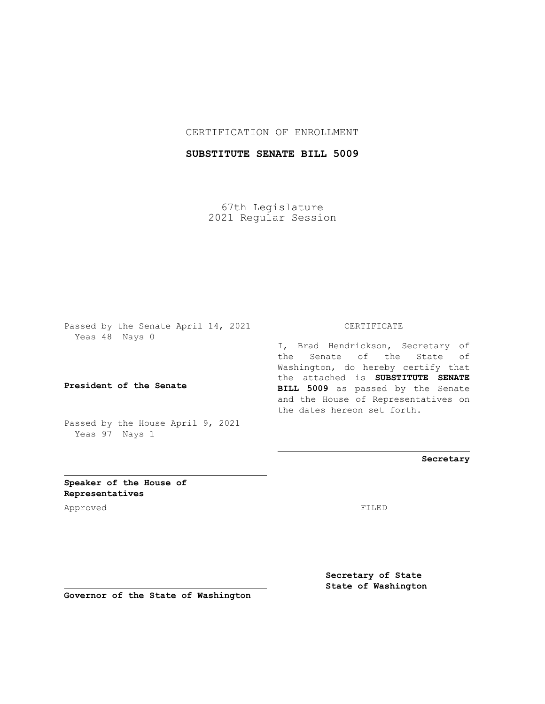## CERTIFICATION OF ENROLLMENT

# **SUBSTITUTE SENATE BILL 5009**

67th Legislature 2021 Regular Session

Passed by the Senate April 14, 2021 Yeas 48 Nays 0

**President of the Senate**

Passed by the House April 9, 2021 Yeas 97 Nays 1

#### CERTIFICATE

I, Brad Hendrickson, Secretary of the Senate of the State of Washington, do hereby certify that the attached is **SUBSTITUTE SENATE BILL 5009** as passed by the Senate and the House of Representatives on the dates hereon set forth.

**Secretary**

**Speaker of the House of Representatives**

Approved FILED

**Secretary of State State of Washington**

**Governor of the State of Washington**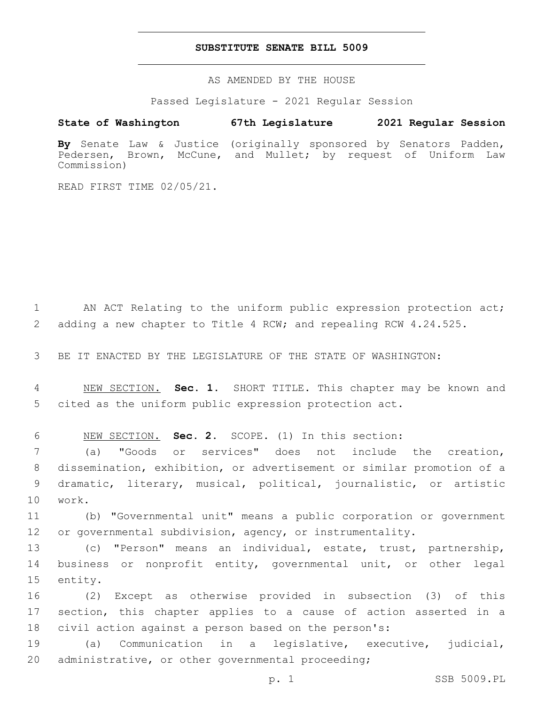### **SUBSTITUTE SENATE BILL 5009**

AS AMENDED BY THE HOUSE

Passed Legislature - 2021 Regular Session

### **State of Washington 67th Legislature 2021 Regular Session**

**By** Senate Law & Justice (originally sponsored by Senators Padden, Pedersen, Brown, McCune, and Mullet; by request of Uniform Law Commission)

READ FIRST TIME 02/05/21.

1 AN ACT Relating to the uniform public expression protection act; 2 adding a new chapter to Title 4 RCW; and repealing RCW 4.24.525.

3 BE IT ENACTED BY THE LEGISLATURE OF THE STATE OF WASHINGTON:

4 NEW SECTION. **Sec. 1.** SHORT TITLE. This chapter may be known and 5 cited as the uniform public expression protection act.

6 NEW SECTION. **Sec. 2.** SCOPE. (1) In this section:

 (a) "Goods or services" does not include the creation, dissemination, exhibition, or advertisement or similar promotion of a dramatic, literary, musical, political, journalistic, or artistic 10 work.

11 (b) "Governmental unit" means a public corporation or government 12 or governmental subdivision, agency, or instrumentality.

13 (c) "Person" means an individual, estate, trust, partnership, 14 business or nonprofit entity, governmental unit, or other legal 15 entity.

16 (2) Except as otherwise provided in subsection (3) of this 17 section, this chapter applies to a cause of action asserted in a 18 civil action against a person based on the person's:

19 (a) Communication in a legislative, executive, judicial, 20 administrative, or other governmental proceeding;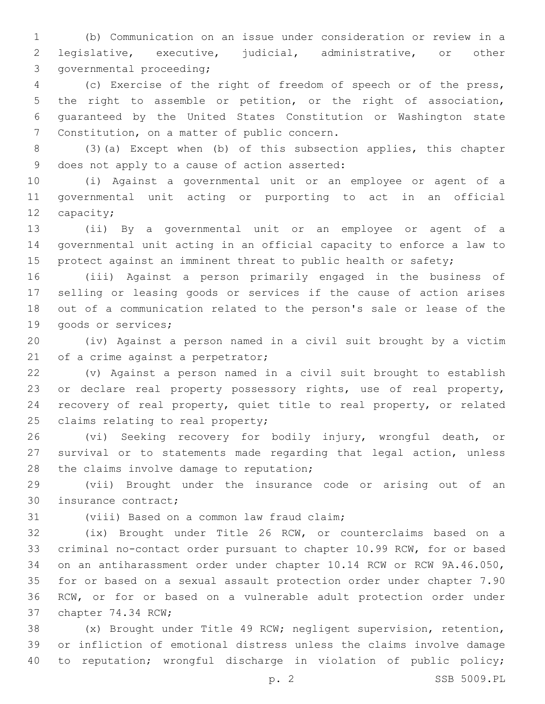(b) Communication on an issue under consideration or review in a legislative, executive, judicial, administrative, or other 3 governmental proceeding;

 (c) Exercise of the right of freedom of speech or of the press, the right to assemble or petition, or the right of association, guaranteed by the United States Constitution or Washington state 7 Constitution, on a matter of public concern.

 (3)(a) Except when (b) of this subsection applies, this chapter 9 does not apply to a cause of action asserted:

 (i) Against a governmental unit or an employee or agent of a governmental unit acting or purporting to act in an official 12 capacity;

 (ii) By a governmental unit or an employee or agent of a governmental unit acting in an official capacity to enforce a law to 15 protect against an imminent threat to public health or safety;

 (iii) Against a person primarily engaged in the business of selling or leasing goods or services if the cause of action arises out of a communication related to the person's sale or lease of the 19 goods or services;

 (iv) Against a person named in a civil suit brought by a victim 21 of a crime against a perpetrator;

 (v) Against a person named in a civil suit brought to establish or declare real property possessory rights, use of real property, recovery of real property, quiet title to real property, or related 25 claims relating to real property;

 (vi) Seeking recovery for bodily injury, wrongful death, or survival or to statements made regarding that legal action, unless 28 the claims involve damage to reputation;

 (vii) Brought under the insurance code or arising out of an 30 insurance contract;

31 (viii) Based on a common law fraud claim;

 (ix) Brought under Title 26 RCW, or counterclaims based on a criminal no-contact order pursuant to chapter 10.99 RCW, for or based on an antiharassment order under chapter 10.14 RCW or RCW 9A.46.050, for or based on a sexual assault protection order under chapter 7.90 RCW, or for or based on a vulnerable adult protection order under 37 chapter 74.34 RCW;

 (x) Brought under Title 49 RCW; negligent supervision, retention, or infliction of emotional distress unless the claims involve damage to reputation; wrongful discharge in violation of public policy;

p. 2 SSB 5009.PL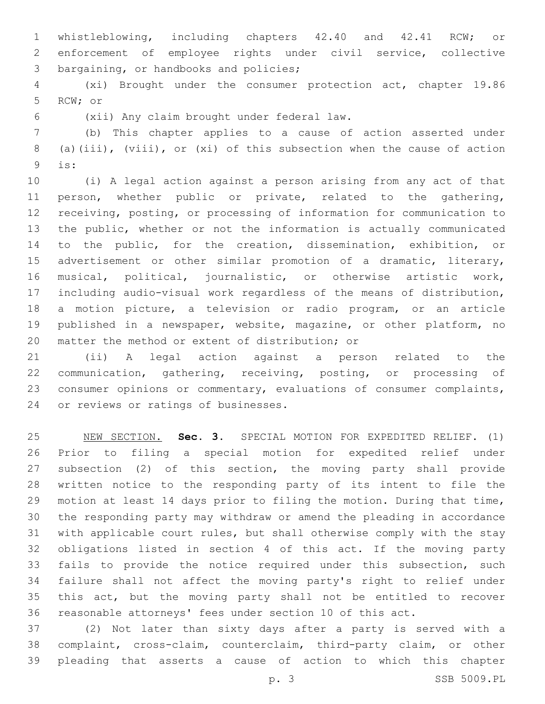whistleblowing, including chapters 42.40 and 42.41 RCW; or enforcement of employee rights under civil service, collective 3 bargaining, or handbooks and policies;

 (xi) Brought under the consumer protection act, chapter 19.86 5 RCW; or

(xii) Any claim brought under federal law.6

 (b) This chapter applies to a cause of action asserted under (a)(iii), (viii), or (xi) of this subsection when the cause of action is:9

 (i) A legal action against a person arising from any act of that person, whether public or private, related to the gathering, receiving, posting, or processing of information for communication to the public, whether or not the information is actually communicated to the public, for the creation, dissemination, exhibition, or advertisement or other similar promotion of a dramatic, literary, musical, political, journalistic, or otherwise artistic work, including audio-visual work regardless of the means of distribution, a motion picture, a television or radio program, or an article published in a newspaper, website, magazine, or other platform, no 20 matter the method or extent of distribution; or

 (ii) A legal action against a person related to the communication, gathering, receiving, posting, or processing of consumer opinions or commentary, evaluations of consumer complaints, 24 or reviews or ratings of businesses.

 NEW SECTION. **Sec. 3.** SPECIAL MOTION FOR EXPEDITED RELIEF. (1) Prior to filing a special motion for expedited relief under subsection (2) of this section, the moving party shall provide written notice to the responding party of its intent to file the motion at least 14 days prior to filing the motion. During that time, the responding party may withdraw or amend the pleading in accordance with applicable court rules, but shall otherwise comply with the stay obligations listed in section 4 of this act. If the moving party fails to provide the notice required under this subsection, such failure shall not affect the moving party's right to relief under this act, but the moving party shall not be entitled to recover reasonable attorneys' fees under section 10 of this act.

 (2) Not later than sixty days after a party is served with a complaint, cross-claim, counterclaim, third-party claim, or other pleading that asserts a cause of action to which this chapter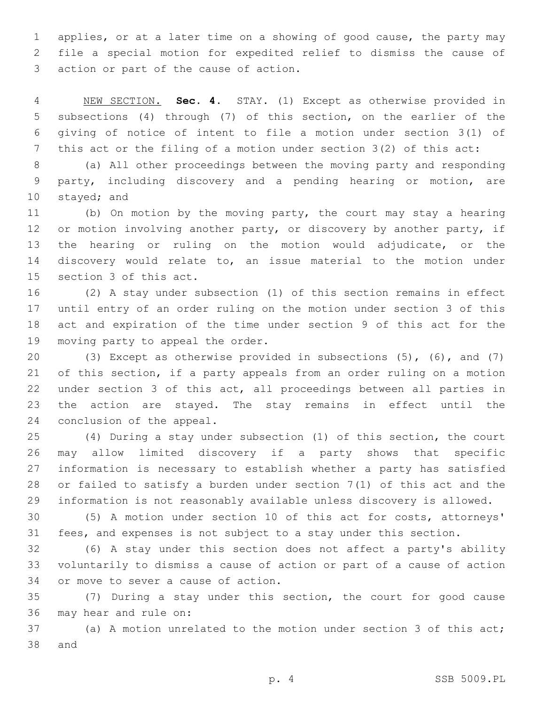applies, or at a later time on a showing of good cause, the party may file a special motion for expedited relief to dismiss the cause of 3 action or part of the cause of action.

 NEW SECTION. **Sec. 4.** STAY. (1) Except as otherwise provided in subsections (4) through (7) of this section, on the earlier of the giving of notice of intent to file a motion under section 3(1) of this act or the filing of a motion under section 3(2) of this act:

 (a) All other proceedings between the moving party and responding party, including discovery and a pending hearing or motion, are 10 stayed; and

 (b) On motion by the moving party, the court may stay a hearing 12 or motion involving another party, or discovery by another party, if the hearing or ruling on the motion would adjudicate, or the discovery would relate to, an issue material to the motion under 15 section 3 of this act.

 (2) A stay under subsection (1) of this section remains in effect until entry of an order ruling on the motion under section 3 of this act and expiration of the time under section 9 of this act for the 19 moving party to appeal the order.

 (3) Except as otherwise provided in subsections (5), (6), and (7) of this section, if a party appeals from an order ruling on a motion under section 3 of this act, all proceedings between all parties in the action are stayed. The stay remains in effect until the 24 conclusion of the appeal.

 (4) During a stay under subsection (1) of this section, the court may allow limited discovery if a party shows that specific information is necessary to establish whether a party has satisfied or failed to satisfy a burden under section 7(1) of this act and the information is not reasonably available unless discovery is allowed.

 (5) A motion under section 10 of this act for costs, attorneys' fees, and expenses is not subject to a stay under this section.

 (6) A stay under this section does not affect a party's ability voluntarily to dismiss a cause of action or part of a cause of action 34 or move to sever a cause of action.

 (7) During a stay under this section, the court for good cause 36 may hear and rule on:

 (a) A motion unrelated to the motion under section 3 of this act; 38 and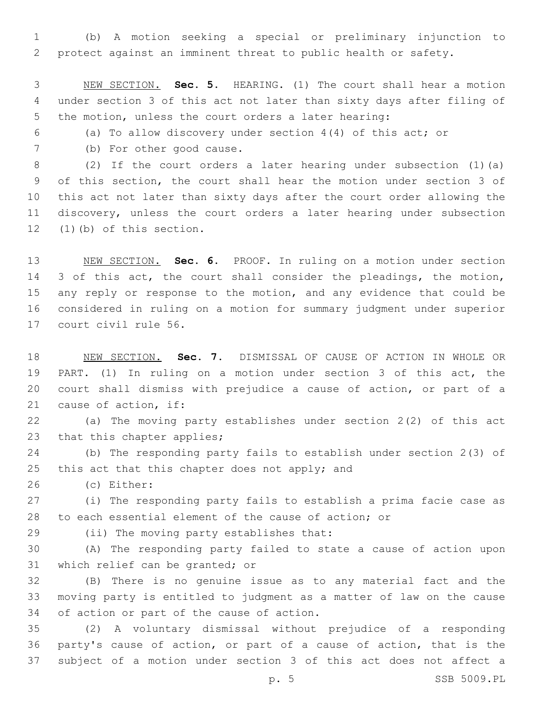(b) A motion seeking a special or preliminary injunction to protect against an imminent threat to public health or safety.

 NEW SECTION. **Sec. 5.** HEARING. (1) The court shall hear a motion under section 3 of this act not later than sixty days after filing of the motion, unless the court orders a later hearing:

(a) To allow discovery under section 4(4) of this act; or

7 (b) For other good cause.

 (2) If the court orders a later hearing under subsection (1)(a) of this section, the court shall hear the motion under section 3 of this act not later than sixty days after the court order allowing the discovery, unless the court orders a later hearing under subsection (1)(b) of this section.

 NEW SECTION. **Sec. 6.** PROOF. In ruling on a motion under section 14 3 of this act, the court shall consider the pleadings, the motion, any reply or response to the motion, and any evidence that could be considered in ruling on a motion for summary judgment under superior court civil rule 56.

 NEW SECTION. **Sec. 7.** DISMISSAL OF CAUSE OF ACTION IN WHOLE OR PART. (1) In ruling on a motion under section 3 of this act, the court shall dismiss with prejudice a cause of action, or part of a cause of action, if:

 (a) The moving party establishes under section 2(2) of this act 23 that this chapter applies;

 (b) The responding party fails to establish under section 2(3) of 25 this act that this chapter does not apply; and

(c) Either:26

 (i) The responding party fails to establish a prima facie case as to each essential element of the cause of action; or

29 (ii) The moving party establishes that:

 (A) The responding party failed to state a cause of action upon 31 which relief can be granted; or

 (B) There is no genuine issue as to any material fact and the moving party is entitled to judgment as a matter of law on the cause 34 of action or part of the cause of action.

 (2) A voluntary dismissal without prejudice of a responding party's cause of action, or part of a cause of action, that is the subject of a motion under section 3 of this act does not affect a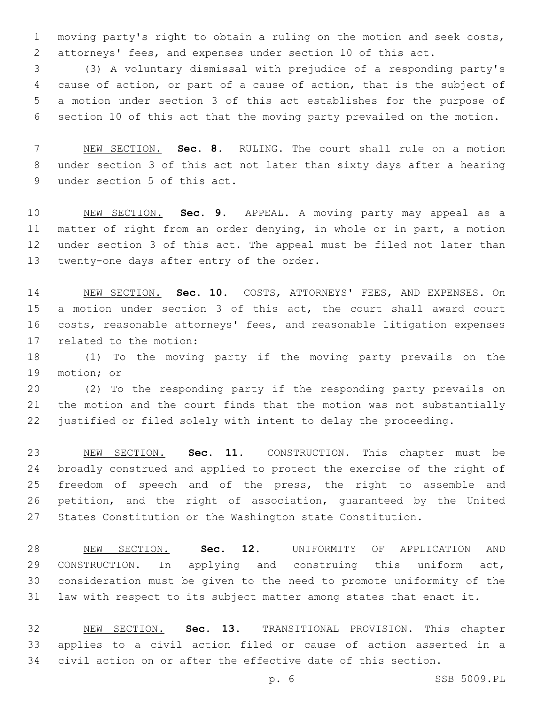moving party's right to obtain a ruling on the motion and seek costs, attorneys' fees, and expenses under section 10 of this act.

 (3) A voluntary dismissal with prejudice of a responding party's cause of action, or part of a cause of action, that is the subject of a motion under section 3 of this act establishes for the purpose of section 10 of this act that the moving party prevailed on the motion.

 NEW SECTION. **Sec. 8.** RULING. The court shall rule on a motion under section 3 of this act not later than sixty days after a hearing under section 5 of this act.

 NEW SECTION. **Sec. 9.** APPEAL. A moving party may appeal as a matter of right from an order denying, in whole or in part, a motion under section 3 of this act. The appeal must be filed not later than twenty-one days after entry of the order.

 NEW SECTION. **Sec. 10.** COSTS, ATTORNEYS' FEES, AND EXPENSES. On a motion under section 3 of this act, the court shall award court costs, reasonable attorneys' fees, and reasonable litigation expenses related to the motion:

 (1) To the moving party if the moving party prevails on the 19 motion; or

 (2) To the responding party if the responding party prevails on the motion and the court finds that the motion was not substantially justified or filed solely with intent to delay the proceeding.

 NEW SECTION. **Sec. 11.** CONSTRUCTION. This chapter must be broadly construed and applied to protect the exercise of the right of freedom of speech and of the press, the right to assemble and petition, and the right of association, guaranteed by the United States Constitution or the Washington state Constitution.

 NEW SECTION. **Sec. 12.** UNIFORMITY OF APPLICATION AND CONSTRUCTION. In applying and construing this uniform act, consideration must be given to the need to promote uniformity of the law with respect to its subject matter among states that enact it.

 NEW SECTION. **Sec. 13.** TRANSITIONAL PROVISION. This chapter applies to a civil action filed or cause of action asserted in a civil action on or after the effective date of this section.